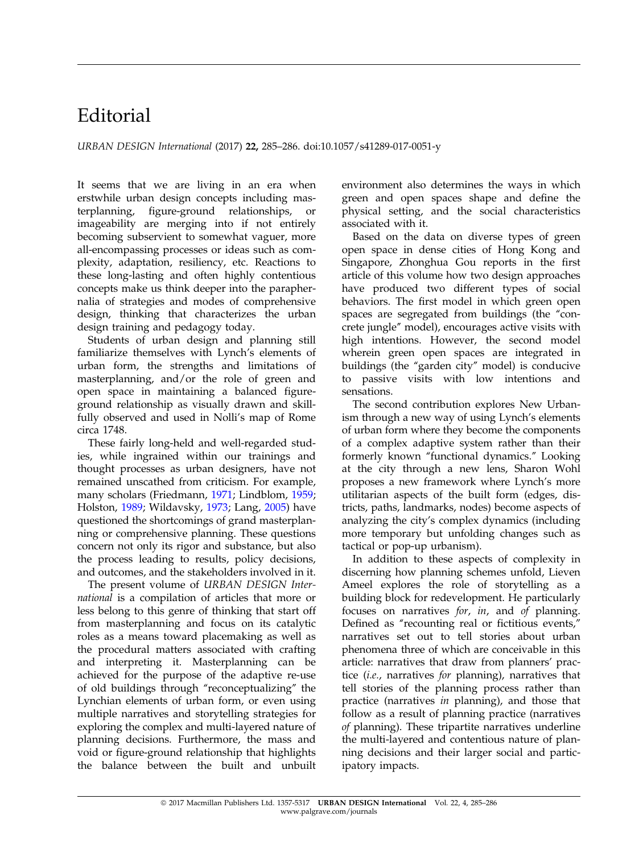## Editorial

URBAN DESIGN International (2017) 22, 285–286. doi:10.1057/s41289-017-0051-y

It seems that we are living in an era when erstwhile urban design concepts including masterplanning, figure-ground relationships, or imageability are merging into if not entirely becoming subservient to somewhat vaguer, more all-encompassing processes or ideas such as complexity, adaptation, resiliency, etc. Reactions to these long-lasting and often highly contentious concepts make us think deeper into the paraphernalia of strategies and modes of comprehensive design, thinking that characterizes the urban design training and pedagogy today.

Students of urban design and planning still familiarize themselves with Lynch's elements of urban form, the strengths and limitations of masterplanning, and/or the role of green and open space in maintaining a balanced figureground relationship as visually drawn and skillfully observed and used in Nolli's map of Rome circa 1748.

These fairly long-held and well-regarded studies, while ingrained within our trainings and thought processes as urban designers, have not remained unscathed from criticism. For example, many scholars (Friedmann, [1971;](#page-1-0) Lindblom, [1959](#page-1-0); Holston, [1989](#page-1-0); Wildavsky, [1973](#page-1-0); Lang, [2005](#page-1-0)) have questioned the shortcomings of grand masterplanning or comprehensive planning. These questions concern not only its rigor and substance, but also the process leading to results, policy decisions, and outcomes, and the stakeholders involved in it.

The present volume of URBAN DESIGN International is a compilation of articles that more or less belong to this genre of thinking that start off from masterplanning and focus on its catalytic roles as a means toward placemaking as well as the procedural matters associated with crafting and interpreting it. Masterplanning can be achieved for the purpose of the adaptive re-use of old buildings through "reconceptualizing" the Lynchian elements of urban form, or even using multiple narratives and storytelling strategies for exploring the complex and multi-layered nature of planning decisions. Furthermore, the mass and void or figure-ground relationship that highlights the balance between the built and unbuilt environment also determines the ways in which green and open spaces shape and define the physical setting, and the social characteristics associated with it.

Based on the data on diverse types of green open space in dense cities of Hong Kong and Singapore, Zhonghua Gou reports in the first article of this volume how two design approaches have produced two different types of social behaviors. The first model in which green open spaces are segregated from buildings (the "concrete jungle'' model), encourages active visits with high intentions. However, the second model wherein green open spaces are integrated in buildings (the ''garden city'' model) is conducive to passive visits with low intentions and sensations.

The second contribution explores New Urbanism through a new way of using Lynch's elements of urban form where they become the components of a complex adaptive system rather than their formerly known "functional dynamics." Looking at the city through a new lens, Sharon Wohl proposes a new framework where Lynch's more utilitarian aspects of the built form (edges, districts, paths, landmarks, nodes) become aspects of analyzing the city's complex dynamics (including more temporary but unfolding changes such as tactical or pop-up urbanism).

In addition to these aspects of complexity in discerning how planning schemes unfold, Lieven Ameel explores the role of storytelling as a building block for redevelopment. He particularly focuses on narratives for, in, and of planning. Defined as "recounting real or fictitious events," narratives set out to tell stories about urban phenomena three of which are conceivable in this article: narratives that draw from planners' practice (i.e., narratives for planning), narratives that tell stories of the planning process rather than practice (narratives in planning), and those that follow as a result of planning practice (narratives of planning). These tripartite narratives underline the multi-layered and contentious nature of planning decisions and their larger social and participatory impacts.